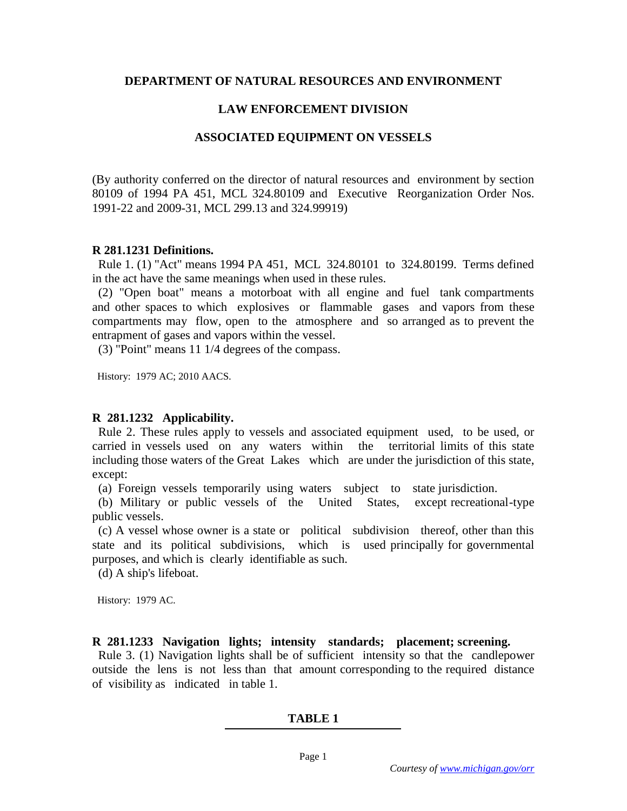### **DEPARTMENT OF NATURAL RESOURCES AND ENVIRONMENT**

### **LAW ENFORCEMENT DIVISION**

### **ASSOCIATED EQUIPMENT ON VESSELS**

(By authority conferred on the director of natural resources and environment by section 80109 of 1994 PA 451, MCL 324.80109 and Executive Reorganization Order Nos. 1991-22 and 2009-31, MCL 299.13 and 324.99919)

### **R 281.1231 Definitions.**

 Rule 1. (1) "Act" means 1994 PA 451, MCL 324.80101 to 324.80199. Terms defined in the act have the same meanings when used in these rules.

 (2) "Open boat" means a motorboat with all engine and fuel tank compartments and other spaces to which explosives or flammable gases and vapors from these compartments may flow, open to the atmosphere and so arranged as to prevent the entrapment of gases and vapors within the vessel.

(3) "Point" means 11 1/4 degrees of the compass.

History: 1979 AC; 2010 AACS.

# **R 281.1232 Applicability.**

 Rule 2. These rules apply to vessels and associated equipment used, to be used, or carried in vessels used on any waters within the territorial limits of this state including those waters of the Great Lakes which are under the jurisdiction of this state, except:

(a) Foreign vessels temporarily using waters subject to state jurisdiction.

 (b) Military or public vessels of the United States, except recreational-type public vessels.

 (c) A vessel whose owner is a state or political subdivision thereof, other than this state and its political subdivisions, which is used principally for governmental purposes, and which is clearly identifiable as such.

(d) A ship's lifeboat.

History: 1979 AC.

**R 281.1233 Navigation lights; intensity standards; placement; screening.**

 Rule 3. (1) Navigation lights shall be of sufficient intensity so that the candlepower outside the lens is not less than that amount corresponding to the required distance of visibility as indicated in table 1.

# **TABLE 1**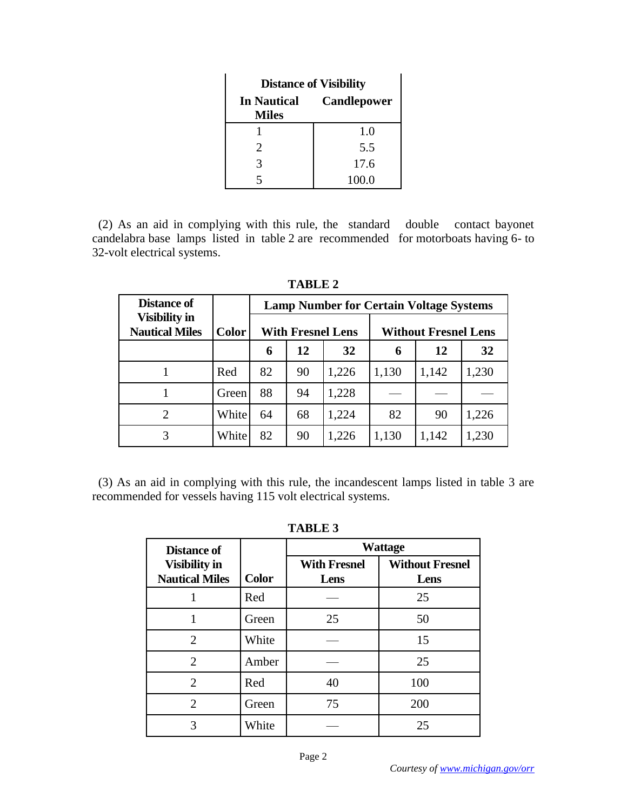| <b>Distance of Visibility</b>                            |       |  |  |
|----------------------------------------------------------|-------|--|--|
| <b>Candlepower</b><br><b>In Nautical</b><br><b>Miles</b> |       |  |  |
|                                                          | 1.0   |  |  |
| 2                                                        | 5.5   |  |  |
|                                                          | 17.6  |  |  |
|                                                          | 100.0 |  |  |

 (2) As an aid in complying with this rule, the standard double contact bayonet candelabra base lamps listed in table 2 are recommended for motorboats having 6- to 32-volt electrical systems.

| <b>Distance of</b>                            |              | <b>Lamp Number for Certain Voltage Systems</b> |    |       |                             |       |       |
|-----------------------------------------------|--------------|------------------------------------------------|----|-------|-----------------------------|-------|-------|
| <b>Visibility in</b><br><b>Nautical Miles</b> | <b>Color</b> | <b>With Fresnel Lens</b>                       |    |       | <b>Without Fresnel Lens</b> |       |       |
|                                               |              | 6                                              | 12 | 32    | 6                           | 12    | 32    |
|                                               | Red          | 82                                             | 90 | 1,226 | 1,130                       | 1,142 | 1,230 |
|                                               | Green        | 88                                             | 94 | 1,228 |                             |       |       |
| $\overline{2}$                                | White        | 64                                             | 68 | 1,224 | 82                          | 90    | 1,226 |
| 3                                             | White        | 82                                             | 90 | 1,226 | 1,130                       | 1,142 | 1,230 |

**TABLE 2**

 (3) As an aid in complying with this rule, the incandescent lamps listed in table 3 are recommended for vessels having 115 volt electrical systems.

| н<br><br>. . |  |
|--------------|--|
|--------------|--|

| <b>Distance of</b>                            |              | <b>Wattage</b>              |                                |  |
|-----------------------------------------------|--------------|-----------------------------|--------------------------------|--|
| <b>Visibility in</b><br><b>Nautical Miles</b> | <b>Color</b> | <b>With Fresnel</b><br>Lens | <b>Without Fresnel</b><br>Lens |  |
|                                               | Red          |                             | 25                             |  |
|                                               | Green        | 25                          | 50                             |  |
| 2                                             | White        |                             | 15                             |  |
| 2                                             | Amber        |                             | 25                             |  |
| $\overline{2}$                                | Red          | 40                          | 100                            |  |
| $\overline{2}$                                | Green        | 75                          | 200                            |  |
| 3                                             | White        |                             | 25                             |  |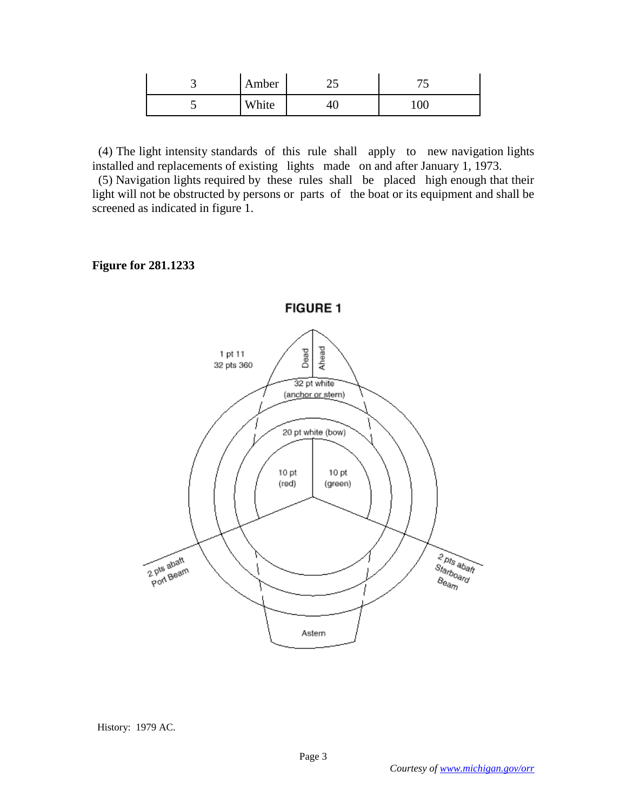| ب | Amber | -- | <b>~</b> |
|---|-------|----|----------|
| ັ | White |    | 100      |

 (4) The light intensity standards of this rule shall apply to new navigation lights installed and replacements of existing lights made on and after January 1, 1973.

 (5) Navigation lights required by these rules shall be placed high enough that their light will not be obstructed by persons or parts of the boat or its equipment and shall be screened as indicated in figure 1.

### **Figure for 281.1233**



#### History: 1979 AC.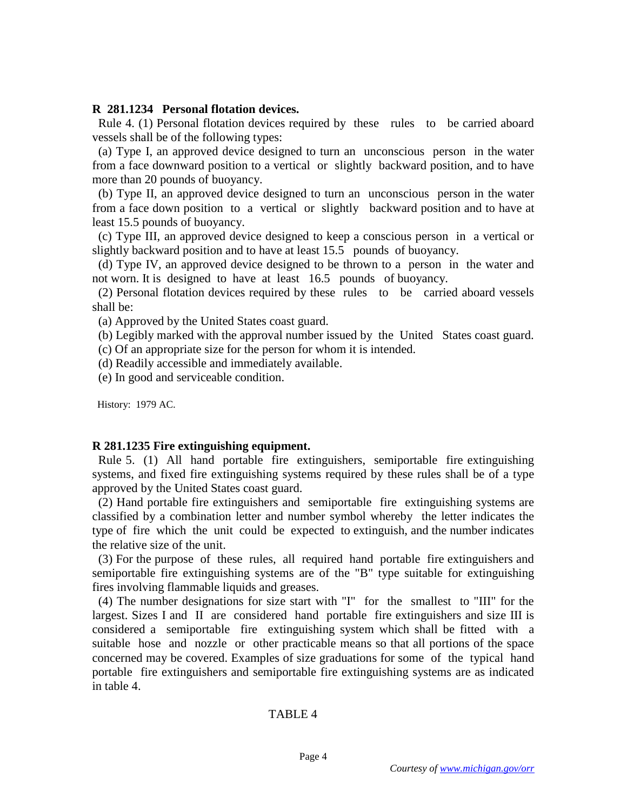### **R 281.1234 Personal flotation devices.**

 Rule 4. (1) Personal flotation devices required by these rules to be carried aboard vessels shall be of the following types:

 (a) Type I, an approved device designed to turn an unconscious person in the water from a face downward position to a vertical or slightly backward position, and to have more than 20 pounds of buoyancy.

 (b) Type II, an approved device designed to turn an unconscious person in the water from a face down position to a vertical or slightly backward position and to have at least 15.5 pounds of buoyancy.

 (c) Type III, an approved device designed to keep a conscious person in a vertical or slightly backward position and to have at least 15.5 pounds of buoyancy.

 (d) Type IV, an approved device designed to be thrown to a person in the water and not worn. It is designed to have at least 16.5 pounds of buoyancy.

 (2) Personal flotation devices required by these rules to be carried aboard vessels shall be:

(a) Approved by the United States coast guard.

 (b) Legibly marked with the approval number issued by the United States coast guard. (c) Of an appropriate size for the person for whom it is intended.

(d) Readily accessible and immediately available.

(e) In good and serviceable condition.

History: 1979 AC.

### **R 281.1235 Fire extinguishing equipment.**

 Rule 5. (1) All hand portable fire extinguishers, semiportable fire extinguishing systems, and fixed fire extinguishing systems required by these rules shall be of a type approved by the United States coast guard.

 (2) Hand portable fire extinguishers and semiportable fire extinguishing systems are classified by a combination letter and number symbol whereby the letter indicates the type of fire which the unit could be expected to extinguish, and the number indicates the relative size of the unit.

 (3) For the purpose of these rules, all required hand portable fire extinguishers and semiportable fire extinguishing systems are of the "B" type suitable for extinguishing fires involving flammable liquids and greases.

 (4) The number designations for size start with "I" for the smallest to "III" for the largest. Sizes I and II are considered hand portable fire extinguishers and size III is considered a semiportable fire extinguishing system which shall be fitted with a suitable hose and nozzle or other practicable means so that all portions of the space concerned may be covered. Examples of size graduations for some of the typical hand portable fire extinguishers and semiportable fire extinguishing systems are as indicated in table 4.

#### TABLE 4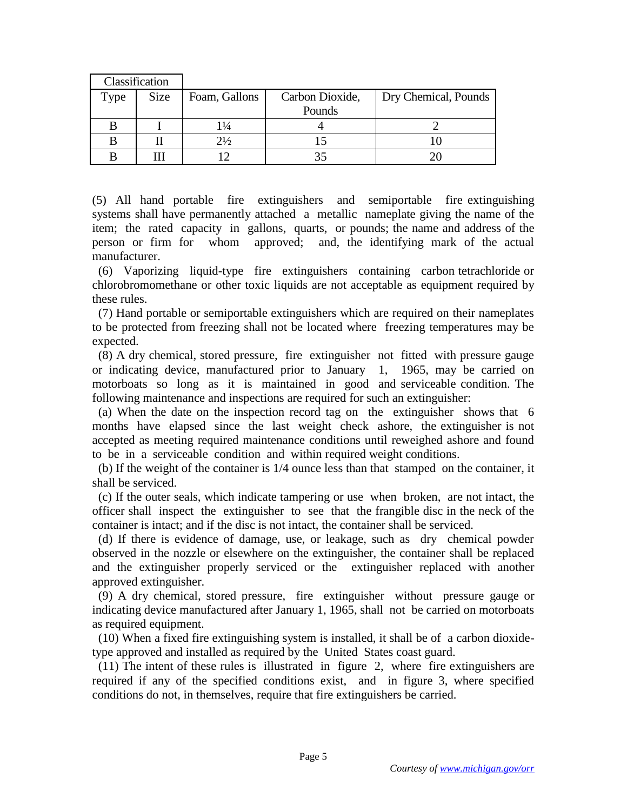|      | Classification |                |                 |                      |
|------|----------------|----------------|-----------------|----------------------|
| Type | <b>Size</b>    | Foam, Gallons  | Carbon Dioxide, | Dry Chemical, Pounds |
|      |                |                | Pounds          |                      |
|      |                | 1¼             |                 |                      |
|      |                | $2\frac{1}{2}$ |                 |                      |
|      |                |                |                 |                      |

(5) All hand portable fire extinguishers and semiportable fire extinguishing systems shall have permanently attached a metallic nameplate giving the name of the item; the rated capacity in gallons, quarts, or pounds; the name and address of the person or firm for whom approved; and, the identifying mark of the actual manufacturer.

 (6) Vaporizing liquid-type fire extinguishers containing carbon tetrachloride or chlorobromomethane or other toxic liquids are not acceptable as equipment required by these rules.

 (7) Hand portable or semiportable extinguishers which are required on their nameplates to be protected from freezing shall not be located where freezing temperatures may be expected.

 (8) A dry chemical, stored pressure, fire extinguisher not fitted with pressure gauge or indicating device, manufactured prior to January 1, 1965, may be carried on motorboats so long as it is maintained in good and serviceable condition. The following maintenance and inspections are required for such an extinguisher:

 (a) When the date on the inspection record tag on the extinguisher shows that 6 months have elapsed since the last weight check ashore, the extinguisher is not accepted as meeting required maintenance conditions until reweighed ashore and found to be in a serviceable condition and within required weight conditions.

 (b) If the weight of the container is 1/4 ounce less than that stamped on the container, it shall be serviced.

 (c) If the outer seals, which indicate tampering or use when broken, are not intact, the officer shall inspect the extinguisher to see that the frangible disc in the neck of the container is intact; and if the disc is not intact, the container shall be serviced.

 (d) If there is evidence of damage, use, or leakage, such as dry chemical powder observed in the nozzle or elsewhere on the extinguisher, the container shall be replaced and the extinguisher properly serviced or the extinguisher replaced with another approved extinguisher.

 (9) A dry chemical, stored pressure, fire extinguisher without pressure gauge or indicating device manufactured after January 1, 1965, shall not be carried on motorboats as required equipment.

 (10) When a fixed fire extinguishing system is installed, it shall be of a carbon dioxidetype approved and installed as required by the United States coast guard.

 (11) The intent of these rules is illustrated in figure 2, where fire extinguishers are required if any of the specified conditions exist, and in figure 3, where specified conditions do not, in themselves, require that fire extinguishers be carried.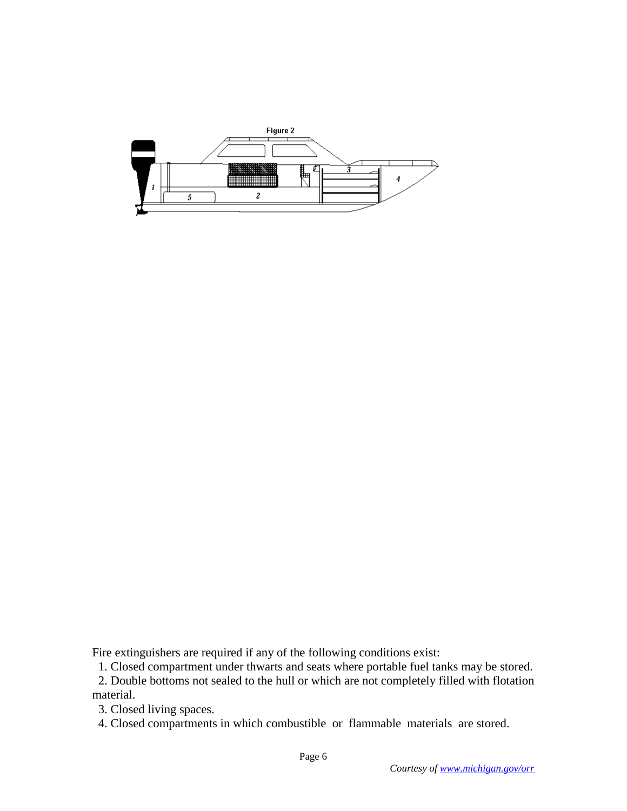

Fire extinguishers are required if any of the following conditions exist:

1. Closed compartment under thwarts and seats where portable fuel tanks may be stored.

 2. Double bottoms not sealed to the hull or which are not completely filled with flotation material.

3. Closed living spaces.

4. Closed compartments in which combustible or flammable materials are stored.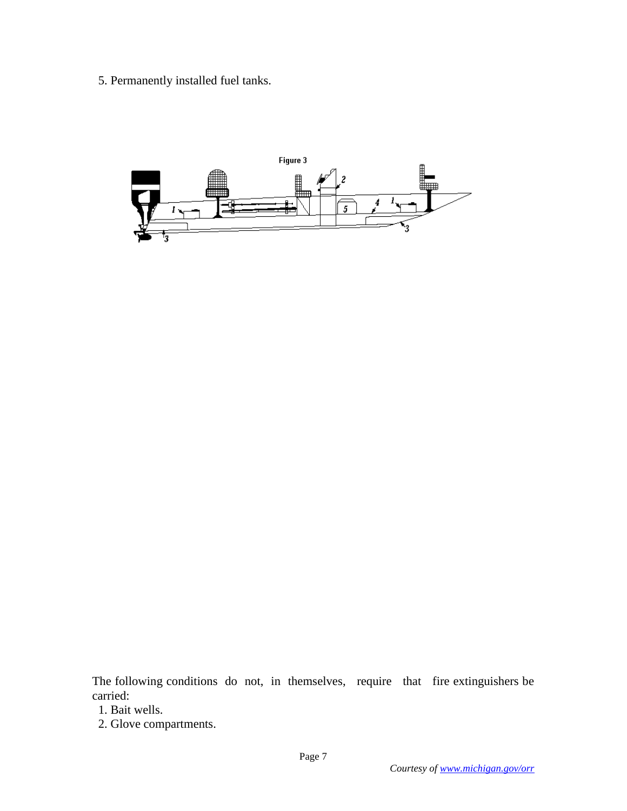5. Permanently installed fuel tanks.



The following conditions do not, in themselves, require that fire extinguishers be carried:

- 1. Bait wells.
- 2. Glove compartments.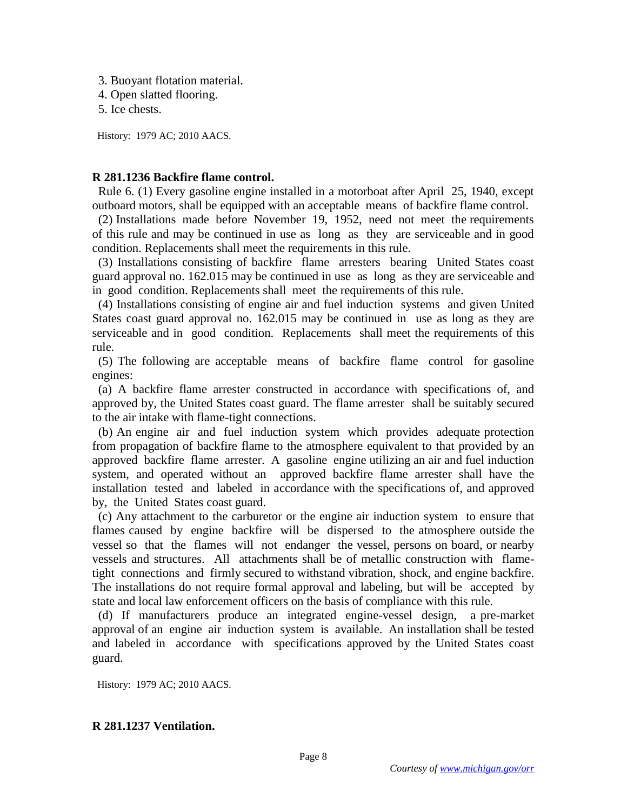- 3. Buoyant flotation material.
- 4. Open slatted flooring.
- 5. Ice chests.

History: 1979 AC; 2010 AACS.

# **R 281.1236 Backfire flame control.**

 Rule 6. (1) Every gasoline engine installed in a motorboat after April 25, 1940, except outboard motors, shall be equipped with an acceptable means of backfire flame control.

 (2) Installations made before November 19, 1952, need not meet the requirements of this rule and may be continued in use as long as they are serviceable and in good condition. Replacements shall meet the requirements in this rule.

 (3) Installations consisting of backfire flame arresters bearing United States coast guard approval no. 162.015 may be continued in use as long as they are serviceable and in good condition. Replacements shall meet the requirements of this rule.

 (4) Installations consisting of engine air and fuel induction systems and given United States coast guard approval no. 162.015 may be continued in use as long as they are serviceable and in good condition. Replacements shall meet the requirements of this rule.

 (5) The following are acceptable means of backfire flame control for gasoline engines:

 (a) A backfire flame arrester constructed in accordance with specifications of, and approved by, the United States coast guard. The flame arrester shall be suitably secured to the air intake with flame-tight connections.

 (b) An engine air and fuel induction system which provides adequate protection from propagation of backfire flame to the atmosphere equivalent to that provided by an approved backfire flame arrester. A gasoline engine utilizing an air and fuel induction system, and operated without an approved backfire flame arrester shall have the installation tested and labeled in accordance with the specifications of, and approved by, the United States coast guard.

 (c) Any attachment to the carburetor or the engine air induction system to ensure that flames caused by engine backfire will be dispersed to the atmosphere outside the vessel so that the flames will not endanger the vessel, persons on board, or nearby vessels and structures. All attachments shall be of metallic construction with flametight connections and firmly secured to withstand vibration, shock, and engine backfire. The installations do not require formal approval and labeling, but will be accepted by state and local law enforcement officers on the basis of compliance with this rule.

 (d) If manufacturers produce an integrated engine-vessel design, a pre-market approval of an engine air induction system is available. An installation shall be tested and labeled in accordance with specifications approved by the United States coast guard.

History: 1979 AC; 2010 AACS.

# **R 281.1237 Ventilation.**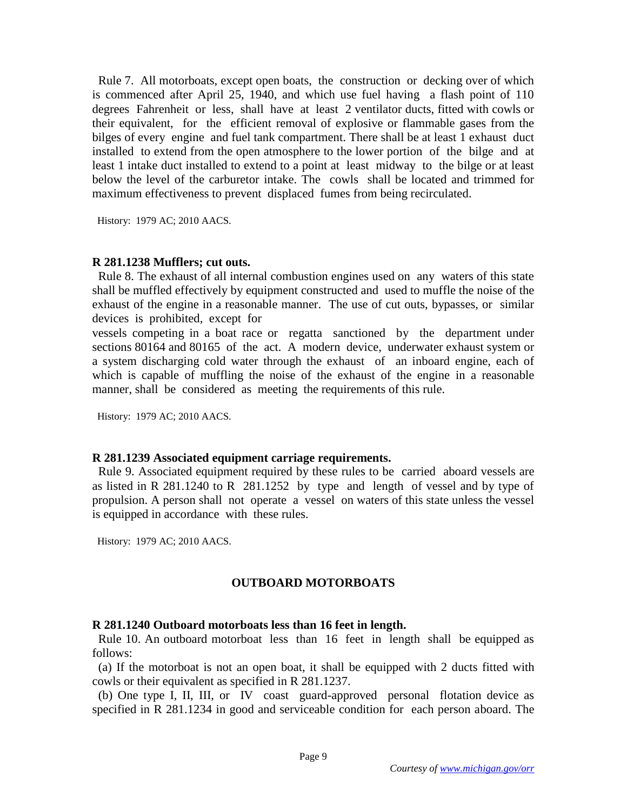Rule 7. All motorboats, except open boats, the construction or decking over of which is commenced after April 25, 1940, and which use fuel having a flash point of 110 degrees Fahrenheit or less, shall have at least 2 ventilator ducts, fitted with cowls or their equivalent, for the efficient removal of explosive or flammable gases from the bilges of every engine and fuel tank compartment. There shall be at least 1 exhaust duct installed to extend from the open atmosphere to the lower portion of the bilge and at least 1 intake duct installed to extend to a point at least midway to the bilge or at least below the level of the carburetor intake. The cowls shall be located and trimmed for maximum effectiveness to prevent displaced fumes from being recirculated.

History: 1979 AC; 2010 AACS.

### **R 281.1238 Mufflers; cut outs.**

 Rule 8. The exhaust of all internal combustion engines used on any waters of this state shall be muffled effectively by equipment constructed and used to muffle the noise of the exhaust of the engine in a reasonable manner. The use of cut outs, bypasses, or similar devices is prohibited, except for

vessels competing in a boat race or regatta sanctioned by the department under sections 80164 and 80165 of the act. A modern device, underwater exhaust system or a system discharging cold water through the exhaust of an inboard engine, each of which is capable of muffling the noise of the exhaust of the engine in a reasonable manner, shall be considered as meeting the requirements of this rule.

History: 1979 AC; 2010 AACS.

### **R 281.1239 Associated equipment carriage requirements.**

 Rule 9. Associated equipment required by these rules to be carried aboard vessels are as listed in R 281.1240 to R 281.1252 by type and length of vessel and by type of propulsion. A person shall not operate a vessel on waters of this state unless the vessel is equipped in accordance with these rules.

History: 1979 AC; 2010 AACS.

# **OUTBOARD MOTORBOATS**

# **R 281.1240 Outboard motorboats less than 16 feet in length.**

 Rule 10. An outboard motorboat less than 16 feet in length shall be equipped as follows:

 (a) If the motorboat is not an open boat, it shall be equipped with 2 ducts fitted with cowls or their equivalent as specified in R 281.1237.

 (b) One type I, II, III, or IV coast guard-approved personal flotation device as specified in R 281.1234 in good and serviceable condition for each person aboard. The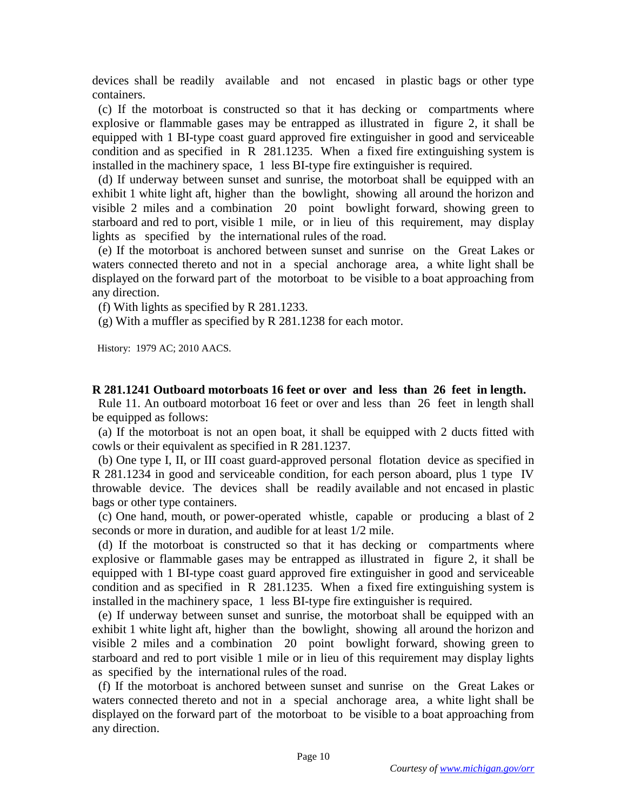devices shall be readily available and not encased in plastic bags or other type containers.

 (c) If the motorboat is constructed so that it has decking or compartments where explosive or flammable gases may be entrapped as illustrated in figure 2, it shall be equipped with 1 BI-type coast guard approved fire extinguisher in good and serviceable condition and as specified in R 281.1235. When a fixed fire extinguishing system is installed in the machinery space, 1 less BI-type fire extinguisher is required.

 (d) If underway between sunset and sunrise, the motorboat shall be equipped with an exhibit 1 white light aft, higher than the bowlight, showing all around the horizon and visible 2 miles and a combination 20 point bowlight forward, showing green to starboard and red to port, visible 1 mile, or in lieu of this requirement, may display lights as specified by the international rules of the road.

 (e) If the motorboat is anchored between sunset and sunrise on the Great Lakes or waters connected thereto and not in a special anchorage area, a white light shall be displayed on the forward part of the motorboat to be visible to a boat approaching from any direction.

(f) With lights as specified by R 281.1233.

(g) With a muffler as specified by R 281.1238 for each motor.

History: 1979 AC; 2010 AACS.

### **R 281.1241 Outboard motorboats 16 feet or over and less than 26 feet in length.**

 Rule 11. An outboard motorboat 16 feet or over and less than 26 feet in length shall be equipped as follows:

 (a) If the motorboat is not an open boat, it shall be equipped with 2 ducts fitted with cowls or their equivalent as specified in R 281.1237.

 (b) One type I, II, or III coast guard-approved personal flotation device as specified in R 281.1234 in good and serviceable condition, for each person aboard, plus 1 type IV throwable device. The devices shall be readily available and not encased in plastic bags or other type containers.

 (c) One hand, mouth, or power-operated whistle, capable or producing a blast of 2 seconds or more in duration, and audible for at least 1/2 mile.

 (d) If the motorboat is constructed so that it has decking or compartments where explosive or flammable gases may be entrapped as illustrated in figure 2, it shall be equipped with 1 BI-type coast guard approved fire extinguisher in good and serviceable condition and as specified in R 281.1235. When a fixed fire extinguishing system is installed in the machinery space, 1 less BI-type fire extinguisher is required.

 (e) If underway between sunset and sunrise, the motorboat shall be equipped with an exhibit 1 white light aft, higher than the bowlight, showing all around the horizon and visible 2 miles and a combination 20 point bowlight forward, showing green to starboard and red to port visible 1 mile or in lieu of this requirement may display lights as specified by the international rules of the road.

 (f) If the motorboat is anchored between sunset and sunrise on the Great Lakes or waters connected thereto and not in a special anchorage area, a white light shall be displayed on the forward part of the motorboat to be visible to a boat approaching from any direction.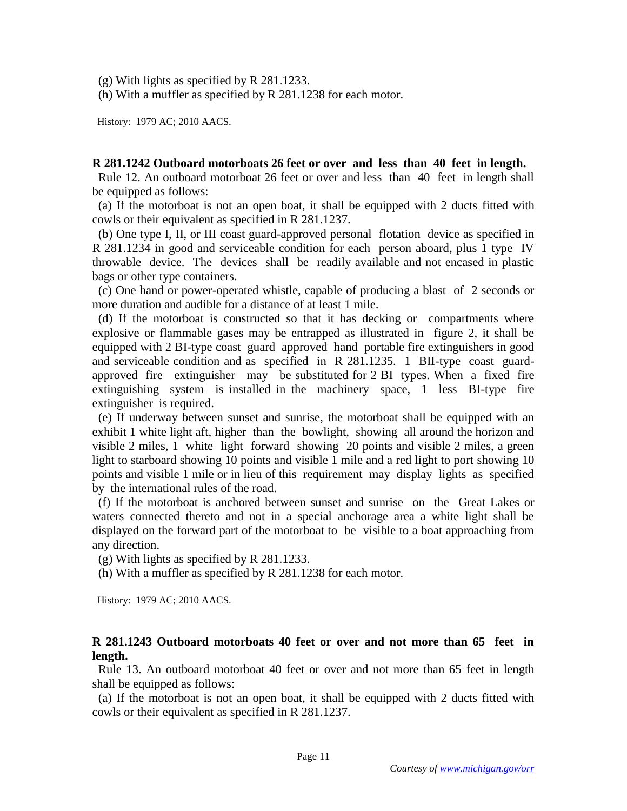(g) With lights as specified by R 281.1233.

(h) With a muffler as specified by R 281.1238 for each motor.

History: 1979 AC; 2010 AACS.

### **R 281.1242 Outboard motorboats 26 feet or over and less than 40 feet in length.**

 Rule 12. An outboard motorboat 26 feet or over and less than 40 feet in length shall be equipped as follows:

 (a) If the motorboat is not an open boat, it shall be equipped with 2 ducts fitted with cowls or their equivalent as specified in R 281.1237.

 (b) One type I, II, or III coast guard-approved personal flotation device as specified in R 281.1234 in good and serviceable condition for each person aboard, plus 1 type IV throwable device. The devices shall be readily available and not encased in plastic bags or other type containers.

 (c) One hand or power-operated whistle, capable of producing a blast of 2 seconds or more duration and audible for a distance of at least 1 mile.

 (d) If the motorboat is constructed so that it has decking or compartments where explosive or flammable gases may be entrapped as illustrated in figure 2, it shall be equipped with 2 BI-type coast guard approved hand portable fire extinguishers in good and serviceable condition and as specified in R 281.1235. 1 BII-type coast guardapproved fire extinguisher may be substituted for 2 BI types. When a fixed fire extinguishing system is installed in the machinery space, 1 less BI-type fire extinguisher is required.

 (e) If underway between sunset and sunrise, the motorboat shall be equipped with an exhibit 1 white light aft, higher than the bowlight, showing all around the horizon and visible 2 miles, 1 white light forward showing 20 points and visible 2 miles, a green light to starboard showing 10 points and visible 1 mile and a red light to port showing 10 points and visible 1 mile or in lieu of this requirement may display lights as specified by the international rules of the road.

 (f) If the motorboat is anchored between sunset and sunrise on the Great Lakes or waters connected thereto and not in a special anchorage area a white light shall be displayed on the forward part of the motorboat to be visible to a boat approaching from any direction.

(g) With lights as specified by R 281.1233.

(h) With a muffler as specified by R 281.1238 for each motor.

History: 1979 AC; 2010 AACS.

### **R 281.1243 Outboard motorboats 40 feet or over and not more than 65 feet in length.**

 Rule 13. An outboard motorboat 40 feet or over and not more than 65 feet in length shall be equipped as follows:

 (a) If the motorboat is not an open boat, it shall be equipped with 2 ducts fitted with cowls or their equivalent as specified in R 281.1237.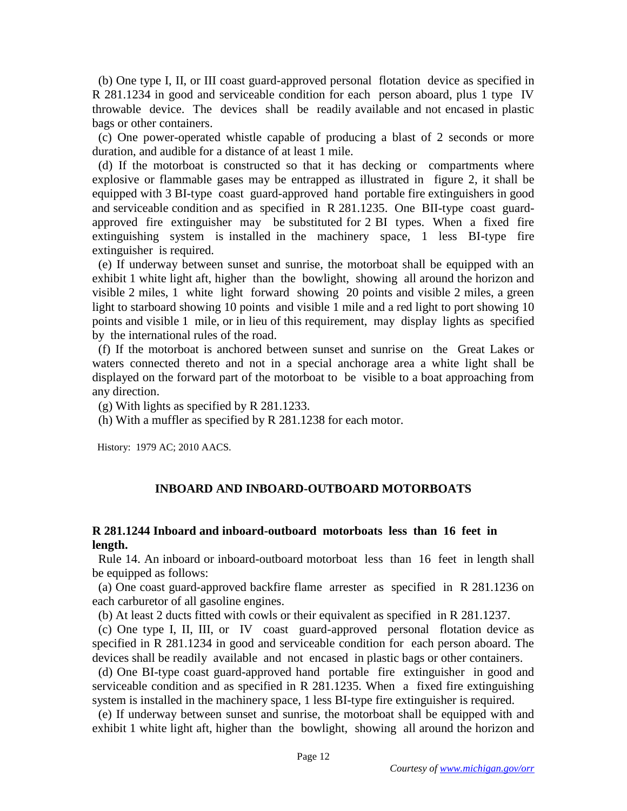(b) One type I, II, or III coast guard-approved personal flotation device as specified in R 281.1234 in good and serviceable condition for each person aboard, plus 1 type IV throwable device. The devices shall be readily available and not encased in plastic bags or other containers.

 (c) One power-operated whistle capable of producing a blast of 2 seconds or more duration, and audible for a distance of at least 1 mile.

 (d) If the motorboat is constructed so that it has decking or compartments where explosive or flammable gases may be entrapped as illustrated in figure 2, it shall be equipped with 3 BI-type coast guard-approved hand portable fire extinguishers in good and serviceable condition and as specified in R 281.1235. One BII-type coast guardapproved fire extinguisher may be substituted for 2 BI types. When a fixed fire extinguishing system is installed in the machinery space, 1 less BI-type fire extinguisher is required.

 (e) If underway between sunset and sunrise, the motorboat shall be equipped with an exhibit 1 white light aft, higher than the bowlight, showing all around the horizon and visible 2 miles, 1 white light forward showing 20 points and visible 2 miles, a green light to starboard showing 10 points and visible 1 mile and a red light to port showing 10 points and visible 1 mile, or in lieu of this requirement, may display lights as specified by the international rules of the road.

 (f) If the motorboat is anchored between sunset and sunrise on the Great Lakes or waters connected thereto and not in a special anchorage area a white light shall be displayed on the forward part of the motorboat to be visible to a boat approaching from any direction.

(g) With lights as specified by R 281.1233.

(h) With a muffler as specified by R 281.1238 for each motor.

History: 1979 AC; 2010 AACS.

# **INBOARD AND INBOARD-OUTBOARD MOTORBOATS**

# **R 281.1244 Inboard and inboard-outboard motorboats less than 16 feet in length.**

 Rule 14. An inboard or inboard-outboard motorboat less than 16 feet in length shall be equipped as follows:

 (a) One coast guard-approved backfire flame arrester as specified in R 281.1236 on each carburetor of all gasoline engines.

(b) At least 2 ducts fitted with cowls or their equivalent as specified in R 281.1237.

 (c) One type I, II, III, or IV coast guard-approved personal flotation device as specified in R 281.1234 in good and serviceable condition for each person aboard. The devices shall be readily available and not encased in plastic bags or other containers.

 (d) One BI-type coast guard-approved hand portable fire extinguisher in good and serviceable condition and as specified in R 281.1235. When a fixed fire extinguishing system is installed in the machinery space, 1 less BI-type fire extinguisher is required.

 (e) If underway between sunset and sunrise, the motorboat shall be equipped with and exhibit 1 white light aft, higher than the bowlight, showing all around the horizon and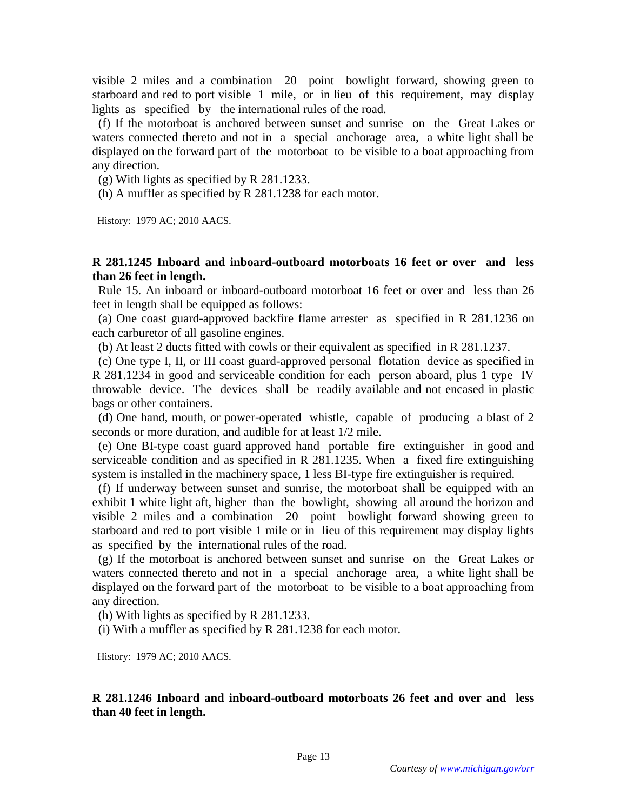visible 2 miles and a combination 20 point bowlight forward, showing green to starboard and red to port visible 1 mile, or in lieu of this requirement, may display lights as specified by the international rules of the road.

 (f) If the motorboat is anchored between sunset and sunrise on the Great Lakes or waters connected thereto and not in a special anchorage area, a white light shall be displayed on the forward part of the motorboat to be visible to a boat approaching from any direction.

(g) With lights as specified by R 281.1233.

(h) A muffler as specified by R 281.1238 for each motor.

History: 1979 AC; 2010 AACS.

### **R 281.1245 Inboard and inboard-outboard motorboats 16 feet or over and less than 26 feet in length.**

 Rule 15. An inboard or inboard-outboard motorboat 16 feet or over and less than 26 feet in length shall be equipped as follows:

 (a) One coast guard-approved backfire flame arrester as specified in R 281.1236 on each carburetor of all gasoline engines.

(b) At least 2 ducts fitted with cowls or their equivalent as specified in R 281.1237.

 (c) One type I, II, or III coast guard-approved personal flotation device as specified in R 281.1234 in good and serviceable condition for each person aboard, plus 1 type IV throwable device. The devices shall be readily available and not encased in plastic bags or other containers.

 (d) One hand, mouth, or power-operated whistle, capable of producing a blast of 2 seconds or more duration, and audible for at least 1/2 mile.

 (e) One BI-type coast guard approved hand portable fire extinguisher in good and serviceable condition and as specified in R 281.1235. When a fixed fire extinguishing system is installed in the machinery space, 1 less BI-type fire extinguisher is required.

 (f) If underway between sunset and sunrise, the motorboat shall be equipped with an exhibit 1 white light aft, higher than the bowlight, showing all around the horizon and visible 2 miles and a combination 20 point bowlight forward showing green to starboard and red to port visible 1 mile or in lieu of this requirement may display lights as specified by the international rules of the road.

 (g) If the motorboat is anchored between sunset and sunrise on the Great Lakes or waters connected thereto and not in a special anchorage area, a white light shall be displayed on the forward part of the motorboat to be visible to a boat approaching from any direction.

(h) With lights as specified by R 281.1233.

(i) With a muffler as specified by R 281.1238 for each motor.

History: 1979 AC; 2010 AACS.

**R 281.1246 Inboard and inboard-outboard motorboats 26 feet and over and less than 40 feet in length.**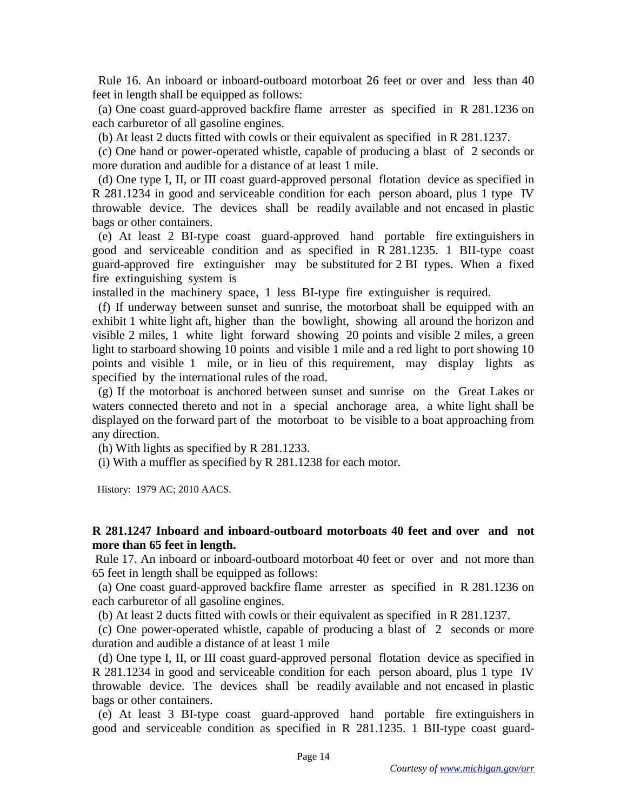Rule 16. An inboard or inboard-outboard motorboat 26 feet or over and less than 40 feet in length shall be equipped as follows:

 (a) One coast guard-approved backfire flame arrester as specified in R 281.1236 on each carburetor of all gasoline engines.

(b) At least 2 ducts fitted with cowls or their equivalent as specified in R 281.1237.

 (c) One hand or power-operated whistle, capable of producing a blast of 2 seconds or more duration and audible for a distance of at least 1 mile.

 (d) One type I, II, or III coast guard-approved personal flotation device as specified in R 281.1234 in good and serviceable condition for each person aboard, plus 1 type IV throwable device. The devices shall be readily available and not encased in plastic bags or other containers.

 (e) At least 2 BI-type coast guard-approved hand portable fire extinguishers in good and serviceable condition and as specified in R 281.1235. 1 BII-type coast guard-approved fire extinguisher may be substituted for 2 BI types. When a fixed fire extinguishing system is

installed in the machinery space, 1 less BI-type fire extinguisher is required.

 (f) If underway between sunset and sunrise, the motorboat shall be equipped with an exhibit 1 white light aft, higher than the bowlight, showing all around the horizon and visible 2 miles, 1 white light forward showing 20 points and visible 2 miles, a green light to starboard showing 10 points and visible 1 mile and a red light to port showing 10 points and visible 1 mile, or in lieu of this requirement, may display lights as specified by the international rules of the road.

 (g) If the motorboat is anchored between sunset and sunrise on the Great Lakes or waters connected thereto and not in a special anchorage area, a white light shall be displayed on the forward part of the motorboat to be visible to a boat approaching from any direction.

(h) With lights as specified by R 281.1233.

(i) With a muffler as specified by R 281.1238 for each motor.

History: 1979 AC; 2010 AACS.

# **R 281.1247 Inboard and inboard-outboard motorboats 40 feet and over and not more than 65 feet in length.**

Rule 17. An inboard or inboard-outboard motorboat 40 feet or over and not more than 65 feet in length shall be equipped as follows:

 (a) One coast guard-approved backfire flame arrester as specified in R 281.1236 on each carburetor of all gasoline engines.

(b) At least 2 ducts fitted with cowls or their equivalent as specified in R 281.1237.

 (c) One power-operated whistle, capable of producing a blast of 2 seconds or more duration and audible a distance of at least 1 mile

 (d) One type I, II, or III coast guard-approved personal flotation device as specified in R 281.1234 in good and serviceable condition for each person aboard, plus 1 type IV throwable device. The devices shall be readily available and not encased in plastic bags or other containers.

 (e) At least 3 BI-type coast guard-approved hand portable fire extinguishers in good and serviceable condition as specified in R 281.1235. 1 BII-type coast guard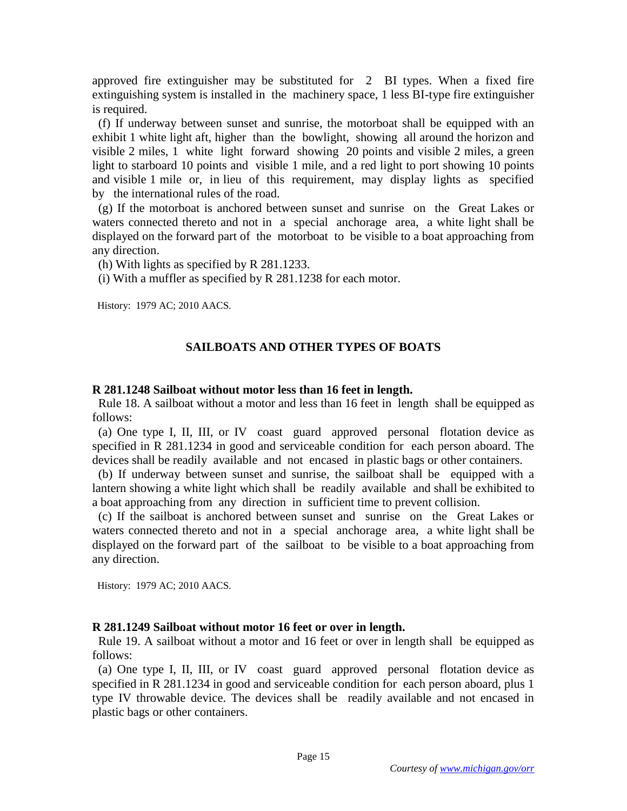approved fire extinguisher may be substituted for 2 BI types. When a fixed fire extinguishing system is installed in the machinery space, 1 less BI-type fire extinguisher is required.

 (f) If underway between sunset and sunrise, the motorboat shall be equipped with an exhibit 1 white light aft, higher than the bowlight, showing all around the horizon and visible 2 miles, 1 white light forward showing 20 points and visible 2 miles, a green light to starboard 10 points and visible 1 mile, and a red light to port showing 10 points and visible 1 mile or, in lieu of this requirement, may display lights as specified by the international rules of the road.

 (g) If the motorboat is anchored between sunset and sunrise on the Great Lakes or waters connected thereto and not in a special anchorage area, a white light shall be displayed on the forward part of the motorboat to be visible to a boat approaching from any direction.

(h) With lights as specified by R 281.1233.

(i) With a muffler as specified by R 281.1238 for each motor.

History: 1979 AC; 2010 AACS.

# **SAILBOATS AND OTHER TYPES OF BOATS**

### **R 281.1248 Sailboat without motor less than 16 feet in length.**

 Rule 18. A sailboat without a motor and less than 16 feet in length shall be equipped as follows:

 (a) One type I, II, III, or IV coast guard approved personal flotation device as specified in R 281.1234 in good and serviceable condition for each person aboard. The devices shall be readily available and not encased in plastic bags or other containers.

 (b) If underway between sunset and sunrise, the sailboat shall be equipped with a lantern showing a white light which shall be readily available and shall be exhibited to a boat approaching from any direction in sufficient time to prevent collision.

 (c) If the sailboat is anchored between sunset and sunrise on the Great Lakes or waters connected thereto and not in a special anchorage area, a white light shall be displayed on the forward part of the sailboat to be visible to a boat approaching from any direction.

History: 1979 AC; 2010 AACS.

# **R 281.1249 Sailboat without motor 16 feet or over in length.**

 Rule 19. A sailboat without a motor and 16 feet or over in length shall be equipped as follows:

 (a) One type I, II, III, or IV coast guard approved personal flotation device as specified in R 281.1234 in good and serviceable condition for each person aboard, plus 1 type IV throwable device. The devices shall be readily available and not encased in plastic bags or other containers.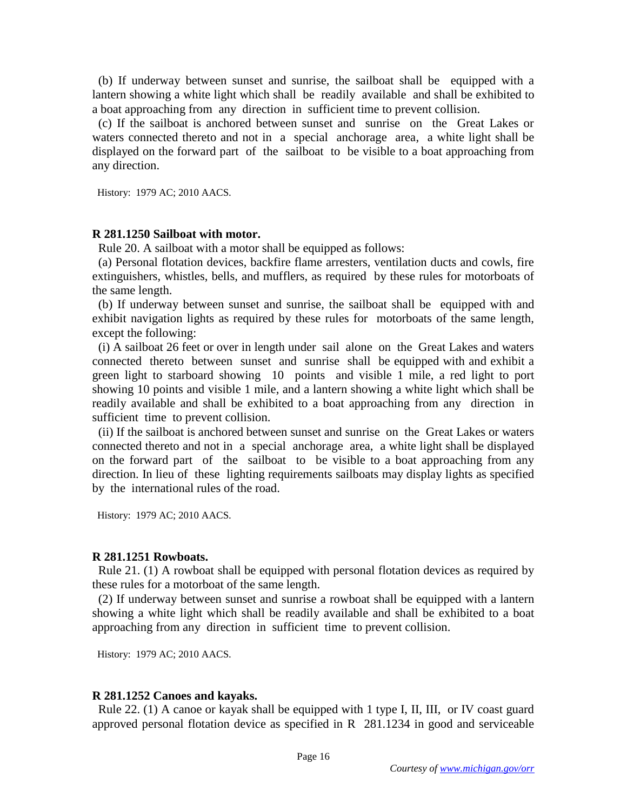(b) If underway between sunset and sunrise, the sailboat shall be equipped with a lantern showing a white light which shall be readily available and shall be exhibited to a boat approaching from any direction in sufficient time to prevent collision.

 (c) If the sailboat is anchored between sunset and sunrise on the Great Lakes or waters connected thereto and not in a special anchorage area, a white light shall be displayed on the forward part of the sailboat to be visible to a boat approaching from any direction.

History: 1979 AC; 2010 AACS.

#### **R 281.1250 Sailboat with motor.**

Rule 20. A sailboat with a motor shall be equipped as follows:

 (a) Personal flotation devices, backfire flame arresters, ventilation ducts and cowls, fire extinguishers, whistles, bells, and mufflers, as required by these rules for motorboats of the same length.

 (b) If underway between sunset and sunrise, the sailboat shall be equipped with and exhibit navigation lights as required by these rules for motorboats of the same length, except the following:

 (i) A sailboat 26 feet or over in length under sail alone on the Great Lakes and waters connected thereto between sunset and sunrise shall be equipped with and exhibit a green light to starboard showing 10 points and visible 1 mile, a red light to port showing 10 points and visible 1 mile, and a lantern showing a white light which shall be readily available and shall be exhibited to a boat approaching from any direction in sufficient time to prevent collision.

 (ii) If the sailboat is anchored between sunset and sunrise on the Great Lakes or waters connected thereto and not in a special anchorage area, a white light shall be displayed on the forward part of the sailboat to be visible to a boat approaching from any direction. In lieu of these lighting requirements sailboats may display lights as specified by the international rules of the road.

History: 1979 AC; 2010 AACS.

### **R 281.1251 Rowboats.**

 Rule 21. (1) A rowboat shall be equipped with personal flotation devices as required by these rules for a motorboat of the same length.

 (2) If underway between sunset and sunrise a rowboat shall be equipped with a lantern showing a white light which shall be readily available and shall be exhibited to a boat approaching from any direction in sufficient time to prevent collision.

History: 1979 AC; 2010 AACS.

### **R 281.1252 Canoes and kayaks.**

 Rule 22. (1) A canoe or kayak shall be equipped with 1 type I, II, III, or IV coast guard approved personal flotation device as specified in R 281.1234 in good and serviceable